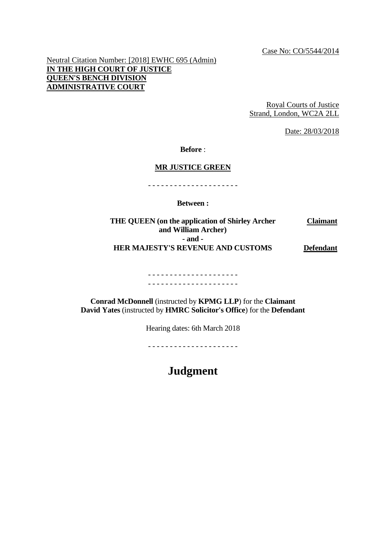Neutral Citation Number: [2018] EWHC 695 (Admin) **IN THE HIGH COURT OF JUSTICE QUEEN'S BENCH DIVISION ADMINISTRATIVE COURT**

> Royal Courts of Justice Strand, London, WC2A 2LL

> > Date: 28/03/2018

**Before** :

#### **MR JUSTICE GREEN**

- - - - - - - - - - - - - - - - - - - - -

**Between :**

**THE QUEEN (on the application of Shirley Archer and William Archer) Claimant - and - HER MAJESTY'S REVENUE AND CUSTOMS Defendant**

> - - - - - - - - - - - - - - - - - - - - - - - - - - - - - - - - - - - - - - - - - -

**Conrad McDonnell** (instructed by **KPMG LLP**) for the **Claimant David Yates** (instructed by **HMRC Solicitor's Office**) for the **Defendant**

Hearing dates: 6th March 2018

- - - - - - - - - - - - - - - - - - - - -

**Judgment**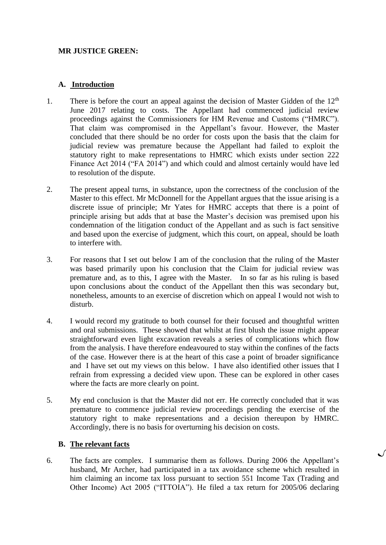### **MR JUSTICE GREEN:**

### **A. Introduction**

- 1. There is before the court an appeal against the decision of Master Gidden of the  $12<sup>th</sup>$ June 2017 relating to costs. The Appellant had commenced judicial review proceedings against the Commissioners for HM Revenue and Customs ("HMRC"). That claim was compromised in the Appellant's favour. However, the Master concluded that there should be no order for costs upon the basis that the claim for judicial review was premature because the Appellant had failed to exploit the statutory right to make representations to HMRC which exists under section 222 Finance Act 2014 ("FA 2014") and which could and almost certainly would have led to resolution of the dispute.
- 2. The present appeal turns, in substance, upon the correctness of the conclusion of the Master to this effect. Mr McDonnell for the Appellant argues that the issue arising is a discrete issue of principle; Mr Yates for HMRC accepts that there is a point of principle arising but adds that at base the Master's decision was premised upon his condemnation of the litigation conduct of the Appellant and as such is fact sensitive and based upon the exercise of judgment, which this court, on appeal, should be loath to interfere with.
- 3. For reasons that I set out below I am of the conclusion that the ruling of the Master was based primarily upon his conclusion that the Claim for judicial review was premature and, as to this, I agree with the Master. In so far as his ruling is based upon conclusions about the conduct of the Appellant then this was secondary but, nonetheless, amounts to an exercise of discretion which on appeal I would not wish to disturb.
- 4. I would record my gratitude to both counsel for their focused and thoughtful written and oral submissions. These showed that whilst at first blush the issue might appear straightforward even light excavation reveals a series of complications which flow from the analysis. I have therefore endeavoured to stay within the confines of the facts of the case. However there is at the heart of this case a point of broader significance and I have set out my views on this below. I have also identified other issues that I refrain from expressing a decided view upon. These can be explored in other cases where the facts are more clearly on point.
- 5. My end conclusion is that the Master did not err. He correctly concluded that it was premature to commence judicial review proceedings pending the exercise of the statutory right to make representations and a decision thereupon by HMRC. Accordingly, there is no basis for overturning his decision on costs.

### **B. The relevant facts**

6. The facts are complex. I summarise them as follows. During 2006 the Appellant's husband, Mr Archer, had participated in a tax avoidance scheme which resulted in him claiming an income tax loss pursuant to section 551 Income Tax (Trading and Other Income) Act 2005 ("ITTOIA"). He filed a tax return for 2005/06 declaring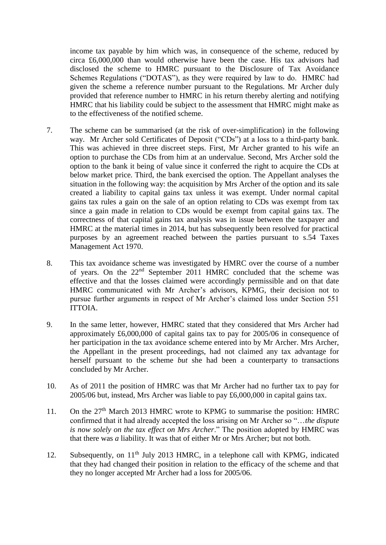income tax payable by him which was, in consequence of the scheme, reduced by circa £6,000,000 than would otherwise have been the case. His tax advisors had disclosed the scheme to HMRC pursuant to the Disclosure of Tax Avoidance Schemes Regulations ("DOTAS"), as they were required by law to do. HMRC had given the scheme a reference number pursuant to the Regulations. Mr Archer duly provided that reference number to HMRC in his return thereby alerting and notifying HMRC that his liability could be subject to the assessment that HMRC might make as to the effectiveness of the notified scheme.

- 7. The scheme can be summarised (at the risk of over-simplification) in the following way. Mr Archer sold Certificates of Deposit ("CDs") at a loss to a third-party bank. This was achieved in three discreet steps. First, Mr Archer granted to his wife an option to purchase the CDs from him at an undervalue. Second, Mrs Archer sold the option to the bank it being of value since it conferred the right to acquire the CDs at below market price. Third, the bank exercised the option. The Appellant analyses the situation in the following way: the acquisition by Mrs Archer of the option and its sale created a liability to capital gains tax unless it was exempt. Under normal capital gains tax rules a gain on the sale of an option relating to CDs was exempt from tax since a gain made in relation to CDs would be exempt from capital gains tax. The correctness of that capital gains tax analysis was in issue between the taxpayer and HMRC at the material times in 2014, but has subsequently been resolved for practical purposes by an agreement reached between the parties pursuant to s.54 Taxes Management Act 1970.
- 8. This tax avoidance scheme was investigated by HMRC over the course of a number of years. On the 22<sup>nd</sup> September 2011 HMRC concluded that the scheme was effective and that the losses claimed were accordingly permissible and on that date HMRC communicated with Mr Archer's advisors, KPMG, their decision not to pursue further arguments in respect of Mr Archer's claimed loss under Section 551 ITTOIA.
- 9. In the same letter, however, HMRC stated that they considered that Mrs Archer had approximately £6,000,000 of capital gains tax to pay for 2005/06 in consequence of her participation in the tax avoidance scheme entered into by Mr Archer. Mrs Archer, the Appellant in the present proceedings, had not claimed any tax advantage for herself pursuant to the scheme *but* she had been a counterparty to transactions concluded by Mr Archer.
- 10. As of 2011 the position of HMRC was that Mr Archer had no further tax to pay for 2005/06 but, instead, Mrs Archer was liable to pay £6,000,000 in capital gains tax.
- 11. On the  $27<sup>th</sup>$  March 2013 HMRC wrote to KPMG to summarise the position: HMRC confirmed that it had already accepted the loss arising on Mr Archer so "…*the dispute is now solely on the tax effect on Mrs Archer*." The position adopted by HMRC was that there was *a* liability. It was that of either Mr or Mrs Archer; but not both.
- 12. Subsequently, on  $11<sup>th</sup>$  July 2013 HMRC, in a telephone call with KPMG, indicated that they had changed their position in relation to the efficacy of the scheme and that they no longer accepted Mr Archer had a loss for 2005/06.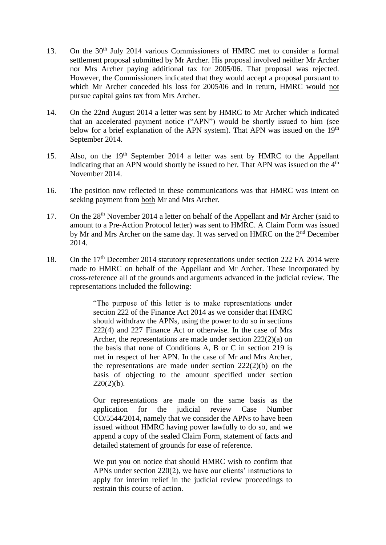- 13. On the 30<sup>th</sup> July 2014 various Commissioners of HMRC met to consider a formal settlement proposal submitted by Mr Archer. His proposal involved neither Mr Archer nor Mrs Archer paying additional tax for 2005/06. That proposal was rejected. However, the Commissioners indicated that they would accept a proposal pursuant to which Mr Archer conceded his loss for 2005/06 and in return, HMRC would not pursue capital gains tax from Mrs Archer.
- 14. On the 22nd August 2014 a letter was sent by HMRC to Mr Archer which indicated that an accelerated payment notice ("APN") would be shortly issued to him (see below for a brief explanation of the APN system). That APN was issued on the 19<sup>th</sup> September 2014.
- 15. Also, on the 19th September 2014 a letter was sent by HMRC to the Appellant indicating that an APN would shortly be issued to her. That APN was issued on the  $4<sup>th</sup>$ November 2014.
- 16. The position now reflected in these communications was that HMRC was intent on seeking payment from both Mr and Mrs Archer.
- 17. On the 28<sup>th</sup> November 2014 a letter on behalf of the Appellant and Mr Archer (said to amount to a Pre-Action Protocol letter) was sent to HMRC. A Claim Form was issued by Mr and Mrs Archer on the same day. It was served on HMRC on the 2nd December 2014.
- 18. On the 17<sup>th</sup> December 2014 statutory representations under section 222 FA 2014 were made to HMRC on behalf of the Appellant and Mr Archer. These incorporated by cross-reference all of the grounds and arguments advanced in the judicial review. The representations included the following:

"The purpose of this letter is to make representations under section 222 of the Finance Act 2014 as we consider that HMRC should withdraw the APNs, using the power to do so in sections 222(4) and 227 Finance Act or otherwise. In the case of Mrs Archer, the representations are made under section 222(2)(a) on the basis that none of Conditions A, B or C in section 219 is met in respect of her APN. In the case of Mr and Mrs Archer, the representations are made under section 222(2)(b) on the basis of objecting to the amount specified under section  $220(2)(b)$ .

Our representations are made on the same basis as the application for the judicial review Case Number CO/5544/2014, namely that we consider the APNs to have been issued without HMRC having power lawfully to do so, and we append a copy of the sealed Claim Form, statement of facts and detailed statement of grounds for ease of reference.

We put you on notice that should HMRC wish to confirm that APNs under section 220(2), we have our clients' instructions to apply for interim relief in the judicial review proceedings to restrain this course of action.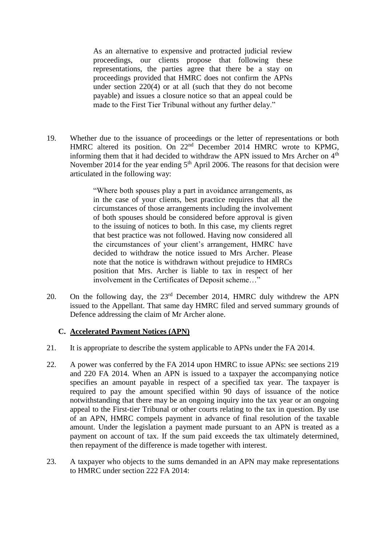As an alternative to expensive and protracted judicial review proceedings, our clients propose that following these representations, the parties agree that there be a stay on proceedings provided that HMRC does not confirm the APNs under section 220(4) or at all (such that they do not become payable) and issues a closure notice so that an appeal could be made to the First Tier Tribunal without any further delay."

19. Whether due to the issuance of proceedings or the letter of representations or both HMRC altered its position. On 22<sup>nd</sup> December 2014 HMRC wrote to KPMG, informing them that it had decided to withdraw the APN issued to Mrs Archer on  $4<sup>th</sup>$ November 2014 for the year ending 5<sup>th</sup> April 2006. The reasons for that decision were articulated in the following way:

> "Where both spouses play a part in avoidance arrangements, as in the case of your clients, best practice requires that all the circumstances of those arrangements including the involvement of both spouses should be considered before approval is given to the issuing of notices to both. In this case, my clients regret that best practice was not followed. Having now considered all the circumstances of your client's arrangement, HMRC have decided to withdraw the notice issued to Mrs Archer. Please note that the notice is withdrawn without prejudice to HMRCs position that Mrs. Archer is liable to tax in respect of her involvement in the Certificates of Deposit scheme…"

20. On the following day, the 23rd December 2014, HMRC duly withdrew the APN issued to the Appellant. That same day HMRC filed and served summary grounds of Defence addressing the claim of Mr Archer alone.

# **C. Accelerated Payment Notices (APN)**

- 21. It is appropriate to describe the system applicable to APNs under the FA 2014.
- 22. A power was conferred by the FA 2014 upon HMRC to issue APNs: see sections 219 and 220 FA 2014. When an APN is issued to a taxpayer the accompanying notice specifies an amount payable in respect of a specified tax year. The taxpayer is required to pay the amount specified within 90 days of issuance of the notice notwithstanding that there may be an ongoing inquiry into the tax year or an ongoing appeal to the First-tier Tribunal or other courts relating to the tax in question. By use of an APN, HMRC compels payment in advance of final resolution of the taxable amount. Under the legislation a payment made pursuant to an APN is treated as a payment on account of tax. If the sum paid exceeds the tax ultimately determined, then repayment of the difference is made together with interest.
- 23. A taxpayer who objects to the sums demanded in an APN may make representations to HMRC under section 222 FA 2014: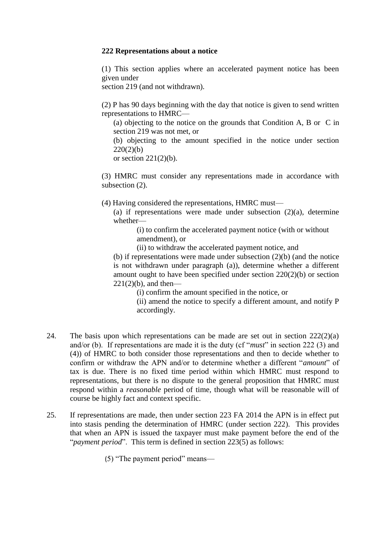#### **222 Representations about a notice**

(1) This section applies where an accelerated payment notice has been given under

section 219 (and not withdrawn).

(2) P has 90 days beginning with the day that notice is given to send written representations to HMRC—

(a) objecting to the notice on the grounds that Condition A, B or C in section 219 was not met, or

(b) objecting to the amount specified in the notice under section  $220(2)(b)$ 

or section  $221(2)(b)$ .

(3) HMRC must consider any representations made in accordance with subsection (2).

(4) Having considered the representations, HMRC must—

(a) if representations were made under subsection (2)(a), determine whether—

> (i) to confirm the accelerated payment notice (with or without amendment), or

(ii) to withdraw the accelerated payment notice, and

(b) if representations were made under subsection (2)(b) (and the notice is not withdrawn under paragraph (a)), determine whether a different amount ought to have been specified under section 220(2)(b) or section  $221(2)(b)$ , and then—

(i) confirm the amount specified in the notice, or

(ii) amend the notice to specify a different amount, and notify P accordingly.

- 24. The basis upon which representations can be made are set out in section 222(2)(a) and/or (b). If representations are made it is the duty (cf "*must*" in section 222 (3) and (4)) of HMRC to both consider those representations and then to decide whether to confirm or withdraw the APN and/or to determine whether a different "*amount*" of tax is due. There is no fixed time period within which HMRC must respond to representations, but there is no dispute to the general proposition that HMRC must respond within a *reasonable* period of time, though what will be reasonable will of course be highly fact and context specific.
- 25. If representations are made, then under section 223 FA 2014 the APN is in effect put into stasis pending the determination of HMRC (under section 222). This provides that when an APN is issued the taxpayer must make payment before the end of the "*payment period*". This term is defined in section 223(5) as follows:

(5) "The payment period" means—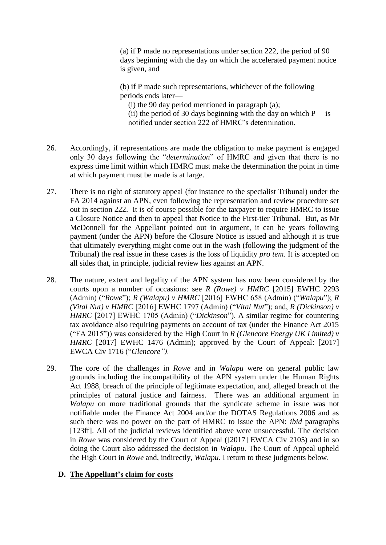(a) if P made no representations under section 222, the period of 90 days beginning with the day on which the accelerated payment notice is given, and

(b) if P made such representations, whichever of the following periods ends later—

 $(i)$  the 90 day period mentioned in paragraph  $(a)$ ;

(ii) the period of 30 days beginning with the day on which  $P$  is notified under section 222 of HMRC's determination.

- 26. Accordingly, if representations are made the obligation to make payment is engaged only 30 days following the "*determination*" of HMRC and given that there is no express time limit within which HMRC must make the determination the point in time at which payment must be made is at large.
- 27. There is no right of statutory appeal (for instance to the specialist Tribunal) under the FA 2014 against an APN, even following the representation and review procedure set out in section 222. It is of course possible for the taxpayer to require HMRC to issue a Closure Notice and then to appeal that Notice to the First-tier Tribunal. But, as Mr McDonnell for the Appellant pointed out in argument, it can be years following payment (under the APN) before the Closure Notice is issued and although it is true that ultimately everything might come out in the wash (following the judgment of the Tribunal) the real issue in these cases is the loss of liquidity *pro tem*. It is accepted on all sides that, in principle, judicial review lies against an APN.
- 28. The nature, extent and legality of the APN system has now been considered by the courts upon a number of occasions: see *R (Rowe) v HMRC* [2015] EWHC 2293 (Admin) ("*Rowe*"); *R (Walapu) v HMRC* [2016] EWHC 658 (Admin) ("*Walapu*"); *R (Vital Nut) v HMRC* [2016] EWHC 1797 (Admin) ("*Vital Nut*"); and, *R (Dickinson) v HMRC* [2017] EWHC 1705 (Admin) ("*Dickinson*"). A similar regime for countering tax avoidance also requiring payments on account of tax (under the Finance Act 2015 ("FA 2015")) was considered by the High Court in *R (Glencore Energy UK Limited) v HMRC* [2017] EWHC 1476 (Admin); approved by the Court of Appeal: [2017] EWCA Civ 1716 ("*Glencore").*
- 29. The core of the challenges in *Rowe* and in *Walapu* were on general public law grounds including the incompatibility of the APN system under the Human Rights Act 1988, breach of the principle of legitimate expectation, and, alleged breach of the principles of natural justice and fairness. There was an additional argument in *Walapu* on more traditional grounds that the syndicate scheme in issue was not notifiable under the Finance Act 2004 and/or the DOTAS Regulations 2006 and as such there was no power on the part of HMRC to issue the APN: *ibid* paragraphs [123ff]. All of the judicial reviews identified above were unsuccessful. The decision in *Rowe* was considered by the Court of Appeal ([2017] EWCA Civ 2105) and in so doing the Court also addressed the decision in *Walapu*. The Court of Appeal upheld the High Court in *Rowe* and, indirectly, *Walapu*. I return to these judgments below.

# **D. The Appellant's claim for costs**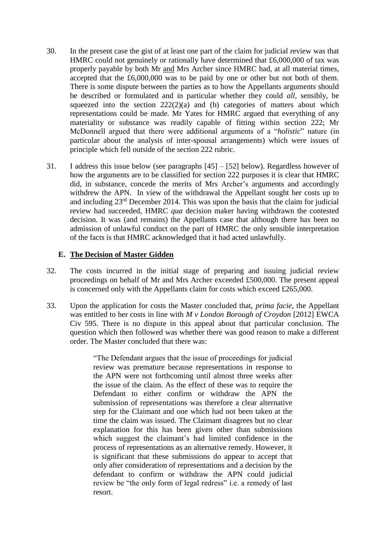- 30. In the present case the gist of at least one part of the claim for judicial review was that HMRC could not genuinely or rationally have determined that £6,000,000 of tax was properly payable by both Mr and Mrs Archer since HMRC had, at all material times, accepted that the £6,000,000 was to be paid by one or other but not both of them. There is some dispute between the parties as to how the Appellants arguments should be described or formulated and in particular whether they could *all,* sensibly, be squeezed into the section  $222(2)(a)$  and (b) categories of matters about which representations could be made. Mr Yates for HMRC argued that everything of any materiality or substance was readily capable of fitting within section 222; Mr McDonnell argued that there were additional arguments of a "*holistic*" nature (in particular about the analysis of inter-spousal arrangements) which were issues of principle which fell outside of the section 222 rubric.
- 31. I address this issue below (see paragraphs [45] [52] below). Regardless however of how the arguments are to be classified for section 222 purposes it is clear that HMRC did, in substance, concede the merits of Mrs Archer's arguments and accordingly withdrew the APN. In view of the withdrawal the Appellant sought her costs up to and including 23rd December 2014. This was upon the basis that the claim for judicial review had succeeded, HMRC *qua* decision maker having withdrawn the contested decision. It was (and remains) the Appellants case that although there has been no admission of unlawful conduct on the part of HMRC the only sensible interpretation of the facts is that HMRC acknowledged that it had acted unlawfully.

### **E. The Decision of Master Gidden**

- 32. The costs incurred in the initial stage of preparing and issuing judicial review proceedings on behalf of Mr and Mrs Archer exceeded £500,000. The present appeal is concerned only with the Appellants claim for costs which exceed £265,000.
- 33. Upon the application for costs the Master concluded that, *prima facie*, the Appellant was entitled to her costs in line with *M v London Borough of Croydon* [2012] EWCA Civ 595. There is no dispute in this appeal about that particular conclusion. The question which then followed was whether there was good reason to make a different order. The Master concluded that there was:

"The Defendant argues that the issue of proceedings for judicial review was premature because representations in response to the APN were not forthcoming until almost three weeks after the issue of the claim. As the effect of these was to require the Defendant to either confirm or withdraw the APN the submission of representations was therefore a clear alternative step for the Claimant and one which had not been taken at the time the claim was issued. The Claimant disagrees but no clear explanation for this has been given other than submissions which suggest the claimant's had limited confidence in the process of representations as an alternative remedy. However, it is significant that these submissions do appear to accept that only after consideration of representations and a decision by the defendant to confirm or withdraw the APN could judicial review be "the only form of legal redress" i.e. a remedy of last resort.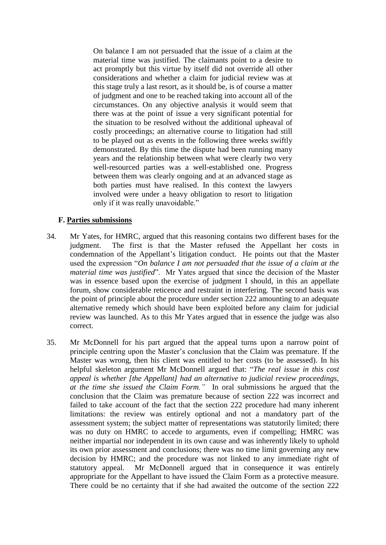On balance I am not persuaded that the issue of a claim at the material time was justified. The claimants point to a desire to act promptly but this virtue by itself did not override all other considerations and whether a claim for judicial review was at this stage truly a last resort, as it should be, is of course a matter of judgment and one to be reached taking into account all of the circumstances. On any objective analysis it would seem that there was at the point of issue a very significant potential for the situation to be resolved without the additional upheaval of costly proceedings; an alternative course to litigation had still to be played out as events in the following three weeks swiftly demonstrated. By this time the dispute had been running many years and the relationship between what were clearly two very well-resourced parties was a well-established one. Progress between them was clearly ongoing and at an advanced stage as both parties must have realised. In this context the lawyers involved were under a heavy obligation to resort to litigation only if it was really unavoidable."

### **F. Parties submissions**

- 34. Mr Yates, for HMRC, argued that this reasoning contains two different bases for the judgment. The first is that the Master refused the Appellant her costs in condemnation of the Appellant's litigation conduct. He points out that the Master used the expression "*On balance I am not persuaded that the issue of a claim at the material time was justified*". Mr Yates argued that since the decision of the Master was in essence based upon the exercise of judgment I should, in this an appellate forum, show considerable reticence and restraint in interfering. The second basis was the point of principle about the procedure under section 222 amounting to an adequate alternative remedy which should have been exploited before any claim for judicial review was launched. As to this Mr Yates argued that in essence the judge was also correct.
- 35. Mr McDonnell for his part argued that the appeal turns upon a narrow point of principle centring upon the Master's conclusion that the Claim was premature. If the Master was wrong, then his client was entitled to her costs (to be assessed). In his helpful skeleton argument Mr McDonnell argued that: "*The real issue in this cost appeal is whether [the Appellant] had an alternative to judicial review proceedings, at the time she issued the Claim Form."* In oral submissions he argued that the conclusion that the Claim was premature because of section 222 was incorrect and failed to take account of the fact that the section 222 procedure had many inherent limitations: the review was entirely optional and not a mandatory part of the assessment system; the subject matter of representations was statutorily limited; there was no duty on HMRC to accede to arguments, even if compelling; HMRC was neither impartial nor independent in its own cause and was inherently likely to uphold its own prior assessment and conclusions; there was no time limit governing any new decision by HMRC; and the procedure was not linked to any immediate right of statutory appeal. Mr McDonnell argued that in consequence it was entirely appropriate for the Appellant to have issued the Claim Form as a protective measure. There could be no certainty that if she had awaited the outcome of the section 222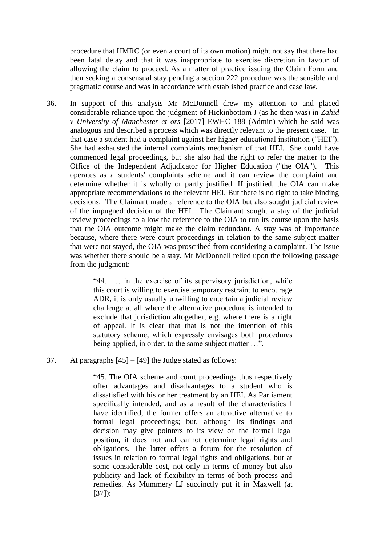procedure that HMRC (or even a court of its own motion) might not say that there had been fatal delay and that it was inappropriate to exercise discretion in favour of allowing the claim to proceed. As a matter of practice issuing the Claim Form and then seeking a consensual stay pending a section 222 procedure was the sensible and pragmatic course and was in accordance with established practice and case law.

36. In support of this analysis Mr McDonnell drew my attention to and placed considerable reliance upon the judgment of Hickinbottom J (as he then was) in *Zahid v University of Manchester et ors* [2017] EWHC 188 (Admin) which he said was analogous and described a process which was directly relevant to the present case. In that case a student had a complaint against her higher educational institution ("HEI"). She had exhausted the internal complaints mechanism of that HEI. She could have commenced legal proceedings, but she also had the right to refer the matter to the Office of the Independent Adjudicator for Higher Education ("the OIA"). This operates as a students' complaints scheme and it can review the complaint and determine whether it is wholly or partly justified. If justified, the OIA can make appropriate recommendations to the relevant HEI. But there is no right to take binding decisions. The Claimant made a reference to the OIA but also sought judicial review of the impugned decision of the HEI. The Claimant sought a stay of the judicial review proceedings to allow the reference to the OIA to run its course upon the basis that the OIA outcome might make the claim redundant. A stay was of importance because, where there were court proceedings in relation to the same subject matter that were not stayed, the OIA was proscribed from considering a complaint. The issue was whether there should be a stay. Mr McDonnell relied upon the following passage from the judgment:

> "44. … in the exercise of its supervisory jurisdiction, while this court is willing to exercise temporary restraint to encourage ADR, it is only usually unwilling to entertain a judicial review challenge at all where the alternative procedure is intended to exclude that jurisdiction altogether, e.g. where there is a right of appeal. It is clear that that is not the intention of this statutory scheme, which expressly envisages both procedures being applied, in order, to the same subject matter …".

### 37. At paragraphs [45] – [49] the Judge stated as follows:

"45. The OIA scheme and court proceedings thus respectively offer advantages and disadvantages to a student who is dissatisfied with his or her treatment by an HEI. As Parliament specifically intended, and as a result of the characteristics I have identified, the former offers an attractive alternative to formal legal proceedings; but, although its findings and decision may give pointers to its view on the formal legal position, it does not and cannot determine legal rights and obligations. The latter offers a forum for the resolution of issues in relation to formal legal rights and obligations, but at some considerable cost, not only in terms of money but also publicity and lack of flexibility in terms of both process and remedies. As Mummery LJ succinctly put it in Maxwell (at [37]):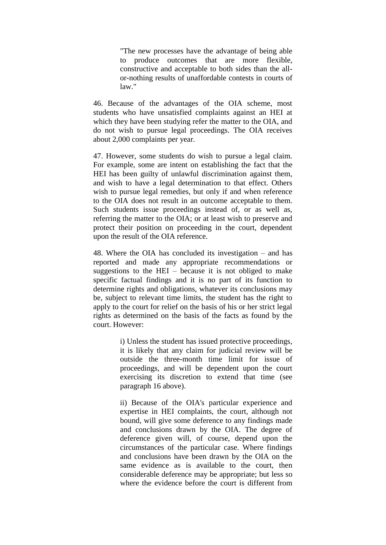"The new processes have the advantage of being able to produce outcomes that are more flexible, constructive and acceptable to both sides than the allor-nothing results of unaffordable contests in courts of law."

46. Because of the advantages of the OIA scheme, most students who have unsatisfied complaints against an HEI at which they have been studying refer the matter to the OIA, and do not wish to pursue legal proceedings. The OIA receives about 2,000 complaints per year.

47. However, some students do wish to pursue a legal claim. For example, some are intent on establishing the fact that the HEI has been guilty of unlawful discrimination against them, and wish to have a legal determination to that effect. Others wish to pursue legal remedies, but only if and when reference to the OIA does not result in an outcome acceptable to them. Such students issue proceedings instead of, or as well as, referring the matter to the OIA; or at least wish to preserve and protect their position on proceeding in the court, dependent upon the result of the OIA reference.

48. Where the OIA has concluded its investigation – and has reported and made any appropriate recommendations or suggestions to the HEI – because it is not obliged to make specific factual findings and it is no part of its function to determine rights and obligations, whatever its conclusions may be, subject to relevant time limits, the student has the right to apply to the court for relief on the basis of his or her strict legal rights as determined on the basis of the facts as found by the court. However:

> i) Unless the student has issued protective proceedings, it is likely that any claim for judicial review will be outside the three-month time limit for issue of proceedings, and will be dependent upon the court exercising its discretion to extend that time (see paragraph 16 above).

> ii) Because of the OIA's particular experience and expertise in HEI complaints, the court, although not bound, will give some deference to any findings made and conclusions drawn by the OIA. The degree of deference given will, of course, depend upon the circumstances of the particular case. Where findings and conclusions have been drawn by the OIA on the same evidence as is available to the court, then considerable deference may be appropriate; but less so where the evidence before the court is different from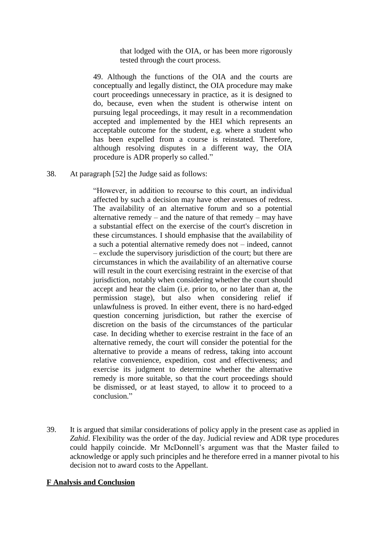that lodged with the OIA, or has been more rigorously tested through the court process.

49. Although the functions of the OIA and the courts are conceptually and legally distinct, the OIA procedure may make court proceedings unnecessary in practice, as it is designed to do, because, even when the student is otherwise intent on pursuing legal proceedings, it may result in a recommendation accepted and implemented by the HEI which represents an acceptable outcome for the student, e.g. where a student who has been expelled from a course is reinstated. Therefore, although resolving disputes in a different way, the OIA procedure is ADR properly so called."

38. At paragraph [52] the Judge said as follows:

"However, in addition to recourse to this court, an individual affected by such a decision may have other avenues of redress. The availability of an alternative forum and so a potential alternative remedy – and the nature of that remedy – may have a substantial effect on the exercise of the court's discretion in these circumstances. I should emphasise that the availability of a such a potential alternative remedy does not – indeed, cannot – exclude the supervisory jurisdiction of the court; but there are circumstances in which the availability of an alternative course will result in the court exercising restraint in the exercise of that jurisdiction, notably when considering whether the court should accept and hear the claim (i.e. prior to, or no later than at, the permission stage), but also when considering relief if unlawfulness is proved. In either event, there is no hard-edged question concerning jurisdiction, but rather the exercise of discretion on the basis of the circumstances of the particular case. In deciding whether to exercise restraint in the face of an alternative remedy, the court will consider the potential for the alternative to provide a means of redress, taking into account relative convenience, expedition, cost and effectiveness; and exercise its judgment to determine whether the alternative remedy is more suitable, so that the court proceedings should be dismissed, or at least stayed, to allow it to proceed to a conclusion."

39. It is argued that similar considerations of policy apply in the present case as applied in *Zahid*. Flexibility was the order of the day. Judicial review and ADR type procedures could happily coincide. Mr McDonnell's argument was that the Master failed to acknowledge or apply such principles and he therefore erred in a manner pivotal to his decision not to award costs to the Appellant.

### **F Analysis and Conclusion**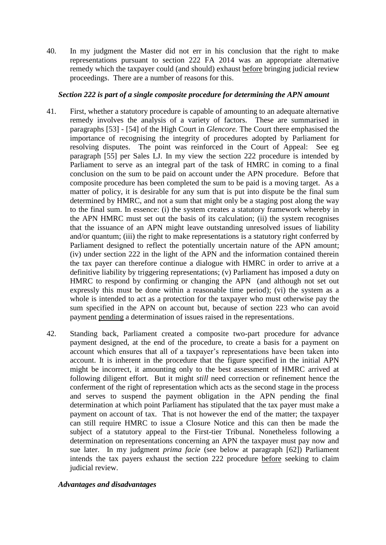40. In my judgment the Master did not err in his conclusion that the right to make representations pursuant to section 222 FA 2014 was an appropriate alternative remedy which the taxpayer could (and should) exhaust before bringing judicial review proceedings. There are a number of reasons for this.

### *Section 222 is part of a single composite procedure for determining the APN amount*

- 41. First, whether a statutory procedure is capable of amounting to an adequate alternative remedy involves the analysis of a variety of factors. These are summarised in paragraphs [53] - [54] of the High Court in *Glencore.* The Court there emphasised the importance of recognising the integrity of procedures adopted by Parliament for resolving disputes. The point was reinforced in the Court of Appeal: See eg paragraph [55] per Sales LJ. In my view the section 222 procedure is intended by Parliament to serve as an integral part of the task of HMRC in coming to a final conclusion on the sum to be paid on account under the APN procedure. Before that composite procedure has been completed the sum to be paid is a moving target. As a matter of policy, it is desirable for any sum that is put into dispute be the final sum determined by HMRC, and not a sum that might only be a staging post along the way to the final sum. In essence: (i) the system creates a statutory framework whereby in the APN HMRC must set out the basis of its calculation; (ii) the system recognises that the issuance of an APN might leave outstanding unresolved issues of liability and/or quantum; (iii) the right to make representations is a statutory right conferred by Parliament designed to reflect the potentially uncertain nature of the APN amount; (iv) under section 222 in the light of the APN and the information contained therein the tax payer can therefore continue a dialogue with HMRC in order to arrive at a definitive liability by triggering representations; (v) Parliament has imposed a duty on HMRC to respond by confirming or changing the APN (and although not set out expressly this must be done within a reasonable time period); (vi) the system as a whole is intended to act as a protection for the taxpayer who must otherwise pay the sum specified in the APN on account but, because of section 223 who can avoid payment pending a determination of issues raised in the representations.
- 42. Standing back, Parliament created a composite two-part procedure for advance payment designed, at the end of the procedure, to create a basis for a payment on account which ensures that all of a taxpayer's representations have been taken into account. It is inherent in the procedure that the figure specified in the initial APN might be incorrect, it amounting only to the best assessment of HMRC arrived at following diligent effort. But it might *still* need correction or refinement hence the conferment of the right of representation which acts as the second stage in the process and serves to suspend the payment obligation in the APN pending the final determination at which point Parliament has stipulated that the tax payer must make a payment on account of tax. That is not however the end of the matter; the taxpayer can still require HMRC to issue a Closure Notice and this can then be made the subject of a statutory appeal to the First-tier Tribunal. Nonetheless following a determination on representations concerning an APN the taxpayer must pay now and sue later. In my judgment *prima facie* (see below at paragraph [62]) Parliament intends the tax payers exhaust the section 222 procedure before seeking to claim judicial review.

# *Advantages and disadvantages*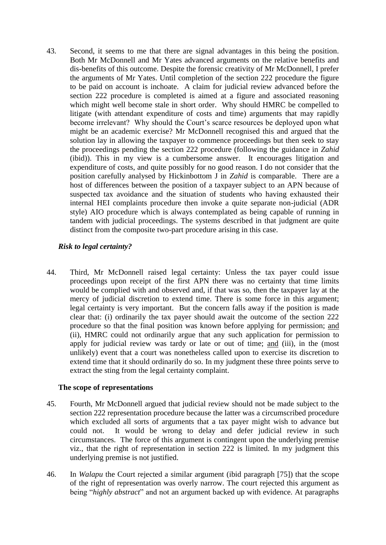43. Second, it seems to me that there are signal advantages in this being the position. Both Mr McDonnell and Mr Yates advanced arguments on the relative benefits and dis-benefits of this outcome. Despite the forensic creativity of Mr McDonnell, I prefer the arguments of Mr Yates. Until completion of the section 222 procedure the figure to be paid on account is inchoate. A claim for judicial review advanced before the section 222 procedure is completed is aimed at a figure and associated reasoning which might well become stale in short order. Why should HMRC be compelled to litigate (with attendant expenditure of costs and time) arguments that may rapidly become irrelevant? Why should the Court's scarce resources be deployed upon what might be an academic exercise? Mr McDonnell recognised this and argued that the solution lay in allowing the taxpayer to commence proceedings but then seek to stay the proceedings pending the section 222 procedure (following the guidance in *Zahid* (ibid)). This in my view is a cumbersome answer. It encourages litigation and expenditure of costs, and quite possibly for no good reason. I do not consider that the position carefully analysed by Hickinbottom J in *Zahid* is comparable. There are a host of differences between the position of a taxpayer subject to an APN because of suspected tax avoidance and the situation of students who having exhausted their internal HEI complaints procedure then invoke a quite separate non-judicial (ADR style) AIO procedure which is always contemplated as being capable of running in tandem with judicial proceedings. The systems described in that judgment are quite distinct from the composite two-part procedure arising in this case.

# *Risk to legal certainty?*

44. Third, Mr McDonnell raised legal certainty: Unless the tax payer could issue proceedings upon receipt of the first APN there was no certainty that time limits would be complied with and observed and, if that was so, then the taxpayer lay at the mercy of judicial discretion to extend time. There is some force in this argument; legal certainty is very important. But the concern falls away if the position is made clear that: (i) ordinarily the tax payer should await the outcome of the section 222 procedure so that the final position was known before applying for permission; and (ii), HMRC could not ordinarily argue that any such application for permission to apply for judicial review was tardy or late or out of time; and (iii), in the (most unlikely) event that a court was nonetheless called upon to exercise its discretion to extend time that it should ordinarily do so. In my judgment these three points serve to extract the sting from the legal certainty complaint.

# **The scope of representations**

- 45. Fourth, Mr McDonnell argued that judicial review should not be made subject to the section 222 representation procedure because the latter was a circumscribed procedure which excluded all sorts of arguments that a tax payer might wish to advance but could not. It would be wrong to delay and defer judicial review in such circumstances. The force of this argument is contingent upon the underlying premise viz., that the right of representation in section 222 is limited. In my judgment this underlying premise is not justified.
- 46. In *Walapu* the Court rejected a similar argument (ibid paragraph [75]) that the scope of the right of representation was overly narrow. The court rejected this argument as being "*highly abstract*" and not an argument backed up with evidence. At paragraphs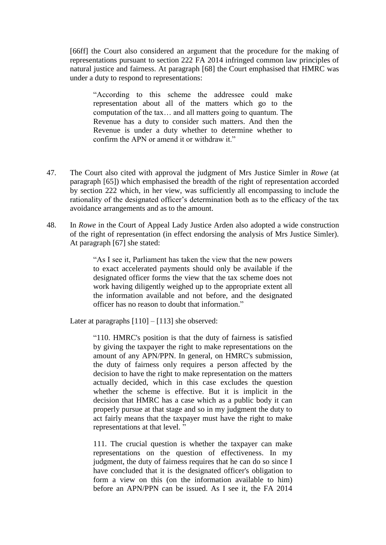[66ff] the Court also considered an argument that the procedure for the making of representations pursuant to section 222 FA 2014 infringed common law principles of natural justice and fairness. At paragraph [68] the Court emphasised that HMRC was under a duty to respond to representations:

"According to this scheme the addressee could make representation about all of the matters which go to the computation of the tax… and all matters going to quantum. The Revenue has a duty to consider such matters. And then the Revenue is under a duty whether to determine whether to confirm the APN or amend it or withdraw it."

- 47. The Court also cited with approval the judgment of Mrs Justice Simler in *Rowe* (at paragraph [65]) which emphasised the breadth of the right of representation accorded by section 222 which, in her view, was sufficiently all encompassing to include the rationality of the designated officer's determination both as to the efficacy of the tax avoidance arrangements and as to the amount.
- 48. In *Rowe* in the Court of Appeal Lady Justice Arden also adopted a wide construction of the right of representation (in effect endorsing the analysis of Mrs Justice Simler). At paragraph [67] she stated:

"As I see it, Parliament has taken the view that the new powers to exact accelerated payments should only be available if the designated officer forms the view that the tax scheme does not work having diligently weighed up to the appropriate extent all the information available and not before, and the designated officer has no reason to doubt that information."

Later at paragraphs [110] – [113] she observed:

"110. HMRC's position is that the duty of fairness is satisfied by giving the taxpayer the right to make representations on the amount of any APN/PPN. In general, on HMRC's submission, the duty of fairness only requires a person affected by the decision to have the right to make representation on the matters actually decided, which in this case excludes the question whether the scheme is effective. But it is implicit in the decision that HMRC has a case which as a public body it can properly pursue at that stage and so in my judgment the duty to act fairly means that the taxpayer must have the right to make representations at that level. "

111. The crucial question is whether the taxpayer can make representations on the question of effectiveness. In my judgment, the duty of fairness requires that he can do so since I have concluded that it is the designated officer's obligation to form a view on this (on the information available to him) before an APN/PPN can be issued. As I see it, the FA 2014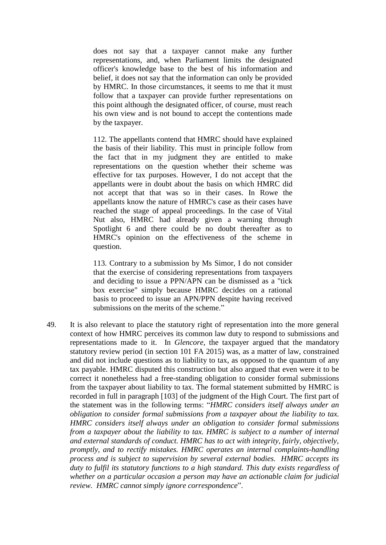does not say that a taxpayer cannot make any further representations, and, when Parliament limits the designated officer's knowledge base to the best of his information and belief, it does not say that the information can only be provided by HMRC. In those circumstances, it seems to me that it must follow that a taxpayer can provide further representations on this point although the designated officer, of course, must reach his own view and is not bound to accept the contentions made by the taxpayer.

112. The appellants contend that HMRC should have explained the basis of their liability. This must in principle follow from the fact that in my judgment they are entitled to make representations on the question whether their scheme was effective for tax purposes. However, I do not accept that the appellants were in doubt about the basis on which HMRC did not accept that that was so in their cases. In Rowe the appellants know the nature of HMRC's case as their cases have reached the stage of appeal proceedings. In the case of Vital Nut also, HMRC had already given a warning through Spotlight 6 and there could be no doubt thereafter as to HMRC's opinion on the effectiveness of the scheme in question.

113. Contrary to a submission by Ms Simor, I do not consider that the exercise of considering representations from taxpayers and deciding to issue a PPN/APN can be dismissed as a "tick box exercise" simply because HMRC decides on a rational basis to proceed to issue an APN/PPN despite having received submissions on the merits of the scheme."

49. It is also relevant to place the statutory right of representation into the more general context of how HMRC perceives its common law duty to respond to submissions and representations made to it. In *Glencore*, the taxpayer argued that the mandatory statutory review period (in section 101 FA 2015) was, as a matter of law, constrained and did not include questions as to liability to tax, as opposed to the quantum of any tax payable. HMRC disputed this construction but also argued that even were it to be correct it nonetheless had a free-standing obligation to consider formal submissions from the taxpayer about liability to tax. The formal statement submitted by HMRC is recorded in full in paragraph [103] of the judgment of the High Court. The first part of the statement was in the following terms: "*HMRC considers itself always under an obligation to consider formal submissions from a taxpayer about the liability to tax. HMRC considers itself always under an obligation to consider formal submissions from a taxpayer about the liability to tax. HMRC is subject to a number of internal and external standards of conduct. HMRC has to act with integrity, fairly, objectively, promptly, and to rectify mistakes. HMRC operates an internal complaints-handling process and is subject to supervision by several external bodies. HMRC accepts its duty to fulfil its statutory functions to a high standard. This duty exists regardless of whether on a particular occasion a person may have an actionable claim for judicial review. HMRC cannot simply ignore correspondence*".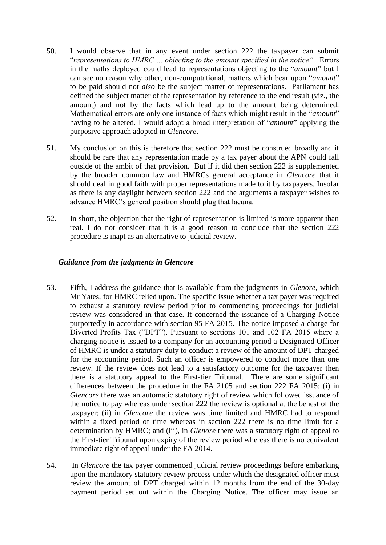- 50. I would observe that in any event under section 222 the taxpayer can submit "*representations to HMRC … objecting to the amount specified in the notice".* Errors in the maths deployed could lead to representations objecting to the "*amount*" but I can see no reason why other, non-computational, matters which bear upon "*amount*" to be paid should not *also* be the subject matter of representations. Parliament has defined the subject matter of the representation by reference to the end result (viz., the amount) and not by the facts which lead up to the amount being determined. Mathematical errors are only one instance of facts which might result in the "*amount*" having to be altered. I would adopt a broad interpretation of "*amount*" applying the purposive approach adopted in *Glencore*.
- 51. My conclusion on this is therefore that section 222 must be construed broadly and it should be rare that any representation made by a tax payer about the APN could fall outside of the ambit of that provision. But if it did then section 222 is supplemented by the broader common law and HMRCs general acceptance in *Glencore* that it should deal in good faith with proper representations made to it by taxpayers. Insofar as there is any daylight between section 222 and the arguments a taxpayer wishes to advance HMRC's general position should plug that lacuna.
- 52. In short, the objection that the right of representation is limited is more apparent than real. I do not consider that it is a good reason to conclude that the section 222 procedure is inapt as an alternative to judicial review.

### *Guidance from the judgments in Glencore*

- 53. Fifth, I address the guidance that is available from the judgments in *Glenore*, which Mr Yates, for HMRC relied upon. The specific issue whether a tax payer was required to exhaust a statutory review period prior to commencing proceedings for judicial review was considered in that case. It concerned the issuance of a Charging Notice purportedly in accordance with section 95 FA 2015. The notice imposed a charge for Diverted Profits Tax ("DPT"). Pursuant to sections 101 and 102 FA 2015 where a charging notice is issued to a company for an accounting period a Designated Officer of HMRC is under a statutory duty to conduct a review of the amount of DPT charged for the accounting period. Such an officer is empowered to conduct more than one review. If the review does not lead to a satisfactory outcome for the taxpayer then there is a statutory appeal to the First-tier Tribunal. There are some significant differences between the procedure in the FA 2105 and section 222 FA 2015: (i) in *Glencore* there was an automatic statutory right of review which followed issuance of the notice to pay whereas under section 222 the review is optional at the behest of the taxpayer; (ii) in *Glencore* the review was time limited and HMRC had to respond within a fixed period of time whereas in section 222 there is no time limit for a determination by HMRC; and (iii), in *Glenore* there was a statutory right of appeal to the First-tier Tribunal upon expiry of the review period whereas there is no equivalent immediate right of appeal under the FA 2014.
- 54. In *Glencore* the tax payer commenced judicial review proceedings before embarking upon the mandatory statutory review process under which the designated officer must review the amount of DPT charged within 12 months from the end of the 30-day payment period set out within the Charging Notice. The officer may issue an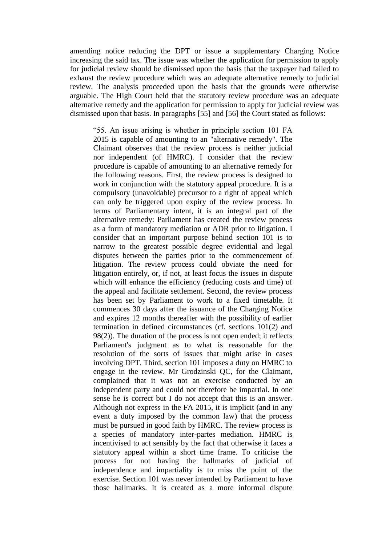amending notice reducing the DPT or issue a supplementary Charging Notice increasing the said tax. The issue was whether the application for permission to apply for judicial review should be dismissed upon the basis that the taxpayer had failed to exhaust the review procedure which was an adequate alternative remedy to judicial review. The analysis proceeded upon the basis that the grounds were otherwise arguable. The High Court held that the statutory review procedure was an adequate alternative remedy and the application for permission to apply for judicial review was dismissed upon that basis. In paragraphs [55] and [56] the Court stated as follows:

"55. An issue arising is whether in principle section 101 FA 2015 is capable of amounting to an "alternative remedy". The Claimant observes that the review process is neither judicial nor independent (of HMRC). I consider that the review procedure is capable of amounting to an alternative remedy for the following reasons. First, the review process is designed to work in conjunction with the statutory appeal procedure. It is a compulsory (unavoidable) precursor to a right of appeal which can only be triggered upon expiry of the review process. In terms of Parliamentary intent, it is an integral part of the alternative remedy: Parliament has created the review process as a form of mandatory mediation or ADR prior to litigation. I consider that an important purpose behind section 101 is to narrow to the greatest possible degree evidential and legal disputes between the parties prior to the commencement of litigation. The review process could obviate the need for litigation entirely, or, if not, at least focus the issues in dispute which will enhance the efficiency (reducing costs and time) of the appeal and facilitate settlement. Second, the review process has been set by Parliament to work to a fixed timetable. It commences 30 days after the issuance of the Charging Notice and expires 12 months thereafter with the possibility of earlier termination in defined circumstances (cf. sections 101(2) and 98(2)). The duration of the process is not open ended; it reflects Parliament's judgment as to what is reasonable for the resolution of the sorts of issues that might arise in cases involving DPT. Third, section 101 imposes a duty on HMRC to engage in the review. Mr Grodzinski QC, for the Claimant, complained that it was not an exercise conducted by an independent party and could not therefore be impartial. In one sense he is correct but I do not accept that this is an answer. Although not express in the FA 2015, it is implicit (and in any event a duty imposed by the common law) that the process must be pursued in good faith by HMRC. The review process is a species of mandatory inter-partes mediation. HMRC is incentivised to act sensibly by the fact that otherwise it faces a statutory appeal within a short time frame. To criticise the process for not having the hallmarks of judicial of independence and impartiality is to miss the point of the exercise. Section 101 was never intended by Parliament to have those hallmarks. It is created as a more informal dispute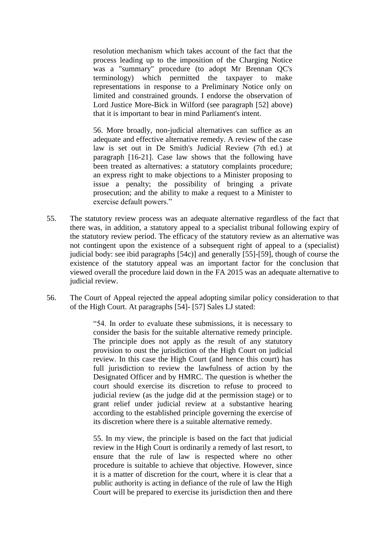resolution mechanism which takes account of the fact that the process leading up to the imposition of the Charging Notice was a "summary" procedure (to adopt Mr Brennan QC's terminology) which permitted the taxpayer to make representations in response to a Preliminary Notice only on limited and constrained grounds. I endorse the observation of Lord Justice More-Bick in Wilford (see paragraph [52] above) that it is important to bear in mind Parliament's intent.

56. More broadly, non-judicial alternatives can suffice as an adequate and effective alternative remedy. A review of the case law is set out in De Smith's Judicial Review (7th ed.) at paragraph [16-21]. Case law shows that the following have been treated as alternatives: a statutory complaints procedure; an express right to make objections to a Minister proposing to issue a penalty; the possibility of bringing a private prosecution; and the ability to make a request to a Minister to exercise default powers."

- 55. The statutory review process was an adequate alternative regardless of the fact that there was, in addition, a statutory appeal to a specialist tribunal following expiry of the statutory review period. The efficacy of the statutory review as an alternative was not contingent upon the existence of a subsequent right of appeal to a (specialist) judicial body: see ibid paragraphs [54c)] and generally [55]-[59], though of course the existence of the statutory appeal was an important factor for the conclusion that viewed overall the procedure laid down in the FA 2015 was an adequate alternative to judicial review.
- 56. The Court of Appeal rejected the appeal adopting similar policy consideration to that of the High Court. At paragraphs [54]- [57] Sales LJ stated:

"54. In order to evaluate these submissions, it is necessary to consider the basis for the suitable alternative remedy principle. The principle does not apply as the result of any statutory provision to oust the jurisdiction of the High Court on judicial review. In this case the High Court (and hence this court) has full jurisdiction to review the lawfulness of action by the Designated Officer and by HMRC. The question is whether the court should exercise its discretion to refuse to proceed to judicial review (as the judge did at the permission stage) or to grant relief under judicial review at a substantive hearing according to the established principle governing the exercise of its discretion where there is a suitable alternative remedy.

55. In my view, the principle is based on the fact that judicial review in the High Court is ordinarily a remedy of last resort, to ensure that the rule of law is respected where no other procedure is suitable to achieve that objective. However, since it is a matter of discretion for the court, where it is clear that a public authority is acting in defiance of the rule of law the High Court will be prepared to exercise its jurisdiction then and there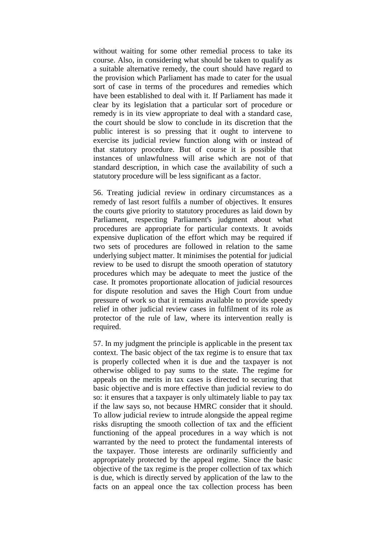without waiting for some other remedial process to take its course. Also, in considering what should be taken to qualify as a suitable alternative remedy, the court should have regard to the provision which Parliament has made to cater for the usual sort of case in terms of the procedures and remedies which have been established to deal with it. If Parliament has made it clear by its legislation that a particular sort of procedure or remedy is in its view appropriate to deal with a standard case, the court should be slow to conclude in its discretion that the public interest is so pressing that it ought to intervene to exercise its judicial review function along with or instead of that statutory procedure. But of course it is possible that instances of unlawfulness will arise which are not of that standard description, in which case the availability of such a statutory procedure will be less significant as a factor.

56. Treating judicial review in ordinary circumstances as a remedy of last resort fulfils a number of objectives. It ensures the courts give priority to statutory procedures as laid down by Parliament, respecting Parliament's judgment about what procedures are appropriate for particular contexts. It avoids expensive duplication of the effort which may be required if two sets of procedures are followed in relation to the same underlying subject matter. It minimises the potential for judicial review to be used to disrupt the smooth operation of statutory procedures which may be adequate to meet the justice of the case. It promotes proportionate allocation of judicial resources for dispute resolution and saves the High Court from undue pressure of work so that it remains available to provide speedy relief in other judicial review cases in fulfilment of its role as protector of the rule of law, where its intervention really is required.

57. In my judgment the principle is applicable in the present tax context. The basic object of the tax regime is to ensure that tax is properly collected when it is due and the taxpayer is not otherwise obliged to pay sums to the state. The regime for appeals on the merits in tax cases is directed to securing that basic objective and is more effective than judicial review to do so: it ensures that a taxpayer is only ultimately liable to pay tax if the law says so, not because HMRC consider that it should. To allow judicial review to intrude alongside the appeal regime risks disrupting the smooth collection of tax and the efficient functioning of the appeal procedures in a way which is not warranted by the need to protect the fundamental interests of the taxpayer. Those interests are ordinarily sufficiently and appropriately protected by the appeal regime. Since the basic objective of the tax regime is the proper collection of tax which is due, which is directly served by application of the law to the facts on an appeal once the tax collection process has been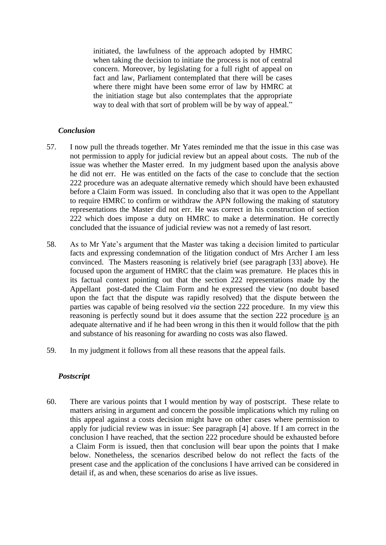initiated, the lawfulness of the approach adopted by HMRC when taking the decision to initiate the process is not of central concern. Moreover, by legislating for a full right of appeal on fact and law, Parliament contemplated that there will be cases where there might have been some error of law by HMRC at the initiation stage but also contemplates that the appropriate way to deal with that sort of problem will be by way of appeal."

### *Conclusion*

- 57. I now pull the threads together. Mr Yates reminded me that the issue in this case was not permission to apply for judicial review but an appeal about costs. The nub of the issue was whether the Master erred. In my judgment based upon the analysis above he did not err. He was entitled on the facts of the case to conclude that the section 222 procedure was an adequate alternative remedy which should have been exhausted before a Claim Form was issued. In concluding also that it was open to the Appellant to require HMRC to confirm or withdraw the APN following the making of statutory representations the Master did not err. He was correct in his construction of section 222 which does impose a duty on HMRC to make a determination. He correctly concluded that the issuance of judicial review was not a remedy of last resort.
- 58. As to Mr Yate's argument that the Master was taking a decision limited to particular facts and expressing condemnation of the litigation conduct of Mrs Archer I am less convinced. The Masters reasoning is relatively brief (see paragraph [33] above). He focused upon the argument of HMRC that the claim was premature. He places this in its factual context pointing out that the section 222 representations made by the Appellant post-dated the Claim Form and he expressed the view (no doubt based upon the fact that the dispute was rapidly resolved) that the dispute between the parties was capable of being resolved *via* the section 222 procedure. In my view this reasoning is perfectly sound but it does assume that the section 222 procedure is an adequate alternative and if he had been wrong in this then it would follow that the pith and substance of his reasoning for awarding no costs was also flawed.
- 59. In my judgment it follows from all these reasons that the appeal fails.

# *Postscript*

60. There are various points that I would mention by way of postscript. These relate to matters arising in argument and concern the possible implications which my ruling on this appeal against a costs decision might have on other cases where permission to apply for judicial review was in issue: See paragraph [4] above. If I am correct in the conclusion I have reached, that the section 222 procedure should be exhausted before a Claim Form is issued, then that conclusion will bear upon the points that I make below. Nonetheless, the scenarios described below do not reflect the facts of the present case and the application of the conclusions I have arrived can be considered in detail if, as and when, these scenarios do arise as live issues.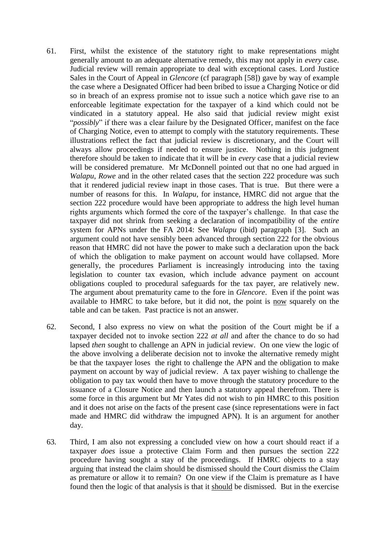- 61. First, whilst the existence of the statutory right to make representations might generally amount to an adequate alternative remedy, this may not apply in *every* case. Judicial review will remain appropriate to deal with exceptional cases. Lord Justice Sales in the Court of Appeal in *Glencore* (cf paragraph [58]) gave by way of example the case where a Designated Officer had been bribed to issue a Charging Notice or did so in breach of an express promise not to issue such a notice which gave rise to an enforceable legitimate expectation for the taxpayer of a kind which could not be vindicated in a statutory appeal. He also said that judicial review might exist "*possibly*" if there was a clear failure by the Designated Officer, manifest on the face of Charging Notice, even to attempt to comply with the statutory requirements. These illustrations reflect the fact that judicial review is discretionary, and the Court will always allow proceedings if needed to ensure justice. Nothing in this judgment therefore should be taken to indicate that it will be in *every* case that a judicial review will be considered premature. Mr McDonnell pointed out that no one had argued in *Walapu*, *Rowe* and in the other related cases that the section 222 procedure was such that it rendered judicial review inapt in those cases. That is true. But there were a number of reasons for this. In *Walapu*, for instance, HMRC did not argue that the section 222 procedure would have been appropriate to address the high level human rights arguments which formed the core of the taxpayer's challenge. In that case the taxpayer did not shrink from seeking a declaration of incompatibility of the *entire* system for APNs under the FA 2014: See *Walapu* (ibid) paragraph [3]. Such an argument could not have sensibly been advanced through section 222 for the obvious reason that HMRC did not have the power to make such a declaration upon the back of which the obligation to make payment on account would have collapsed. More generally, the procedures Parliament is increasingly introducing into the taxing legislation to counter tax evasion, which include advance payment on account obligations coupled to procedural safeguards for the tax payer, are relatively new. The argument about prematurity came to the fore in *Glencore*. Even if the point was available to HMRC to take before, but it did not, the point is now squarely on the table and can be taken. Past practice is not an answer.
- 62. Second, I also express no view on what the position of the Court might be if a taxpayer decided not to invoke section 222 *at all* and after the chance to do so had lapsed *then* sought to challenge an APN in judicial review. On one view the logic of the above involving a deliberate decision not to invoke the alternative remedy might be that the taxpayer loses the right to challenge the APN and the obligation to make payment on account by way of judicial review. A tax payer wishing to challenge the obligation to pay tax would then have to move through the statutory procedure to the issuance of a Closure Notice and then launch a statutory appeal therefrom. There is some force in this argument but Mr Yates did not wish to pin HMRC to this position and it does not arise on the facts of the present case (since representations were in fact made and HMRC did withdraw the impugned APN). It is an argument for another day.
- 63. Third, I am also not expressing a concluded view on how a court should react if a taxpayer *does* issue a protective Claim Form and then pursues the section 222 procedure having sought a stay of the proceedings. If HMRC objects to a stay arguing that instead the claim should be dismissed should the Court dismiss the Claim as premature or allow it to remain? On one view if the Claim is premature as I have found then the logic of that analysis is that it should be dismissed. But in the exercise